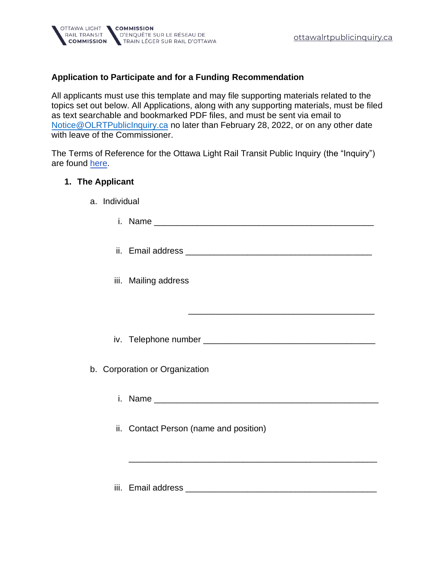## **Application to Participate and for a Funding Recommendation**

All applicants must use this template and may file supporting materials related to the topics set out below. All Applications, along with any supporting materials, must be filed as text searchable and bookmarked PDF files, and must be sent via email to [Notice@OLRTPublicInquiry.ca](mailto:Notice@OLRTPublicInquiry.ca) no later than February 28, 2022, or on any other date with leave of the Commissioner.

The Terms of Reference for the Ottawa Light Rail Transit Public Inquiry (the "Inquiry") are found [here](https://ottawalrtpublicinquiry.ca/files/documents/Order-in-Council-D%C3%A9cret-1859-2021.pdf).

## **1. The Applicant**

| a. Individual |                                        |
|---------------|----------------------------------------|
|               |                                        |
|               |                                        |
|               | iii. Mailing address                   |
|               |                                        |
|               |                                        |
|               | b. Corporation or Organization         |
|               |                                        |
|               | ii. Contact Person (name and position) |
|               |                                        |
|               | iii. Email address                     |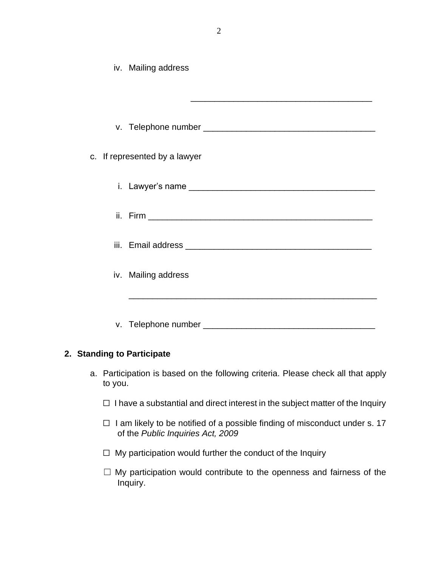|                               | iv. Mailing address |  |  |
|-------------------------------|---------------------|--|--|
|                               |                     |  |  |
|                               |                     |  |  |
| c. If represented by a lawyer |                     |  |  |
|                               |                     |  |  |
|                               |                     |  |  |
|                               |                     |  |  |
|                               | iv. Mailing address |  |  |
|                               |                     |  |  |
|                               |                     |  |  |
| 2. Standing to Participate    |                     |  |  |

- a. Participation is based on the following criteria. Please check all that apply to you.
	- □ I have a substantial and direct interest in the subject matter of the Inquiry
	- □ I am likely to be notified of a possible finding of misconduct under s. 17 of the *Public Inquiries Act, 2009*
	- $\Box$  My participation would further the conduct of the Inquiry
	- □ My participation would contribute to the openness and fairness of the Inquiry.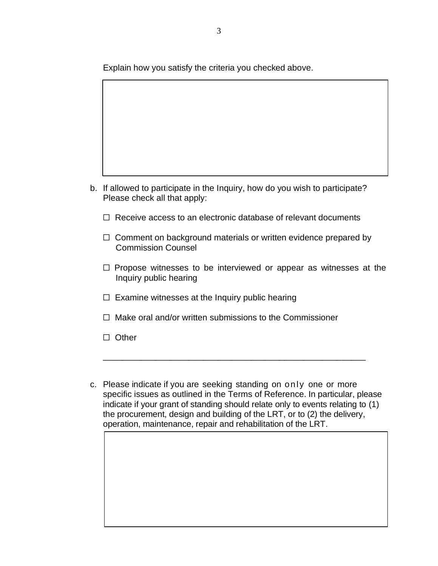Explain how you satisfy the criteria you checked above.

- b. If allowed to participate in the Inquiry, how do you wish to participate? Please check all that apply:
	- ☐ Receive access to an electronic database of relevant documents
	- $\Box$  Comment on background materials or written evidence prepared by Commission Counsel
	- $\Box$  Propose witnesses to be interviewed or appear as witnesses at the Inquiry public hearing
	- $\Box$  Examine witnesses at the Inquiry public hearing
	- $\Box$  Make oral and/or written submissions to the Commissioner
	- ☐ Other
- c. Please indicate if you are seeking standing on only one or more specific issues as outlined in the Terms of Reference. In particular, please indicate if your grant of standing should relate only to events relating to (1) the procurement, design and building of the LRT, or to (2) the delivery, operation, maintenance, repair and rehabilitation of the LRT.

\_\_\_\_\_\_\_\_\_\_\_\_\_\_\_\_\_\_\_\_\_\_\_\_\_\_\_\_\_\_\_\_\_\_\_\_\_\_\_\_\_\_\_\_\_\_\_\_\_\_\_\_\_\_\_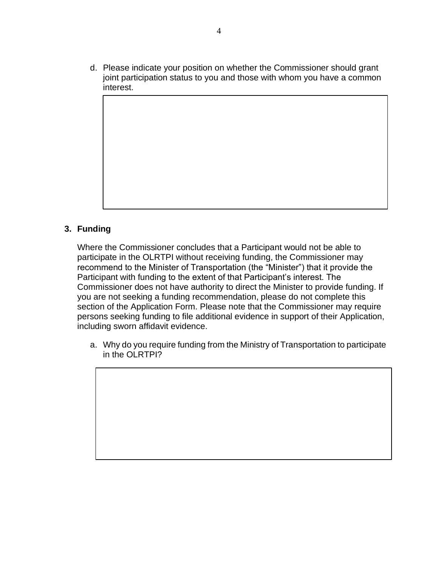d. Please indicate your position on whether the Commissioner should grant joint participation status to you and those with whom you have a common interest.

## **3. Funding**

Where the Commissioner concludes that a Participant would not be able to participate in the OLRTPI without receiving funding, the Commissioner may recommend to the Minister of Transportation (the "Minister") that it provide the Participant with funding to the extent of that Participant's interest. The Commissioner does not have authority to direct the Minister to provide funding. If you are not seeking a funding recommendation, please do not complete this section of the Application Form. Please note that the Commissioner may require persons seeking funding to file additional evidence in support of their Application, including sworn affidavit evidence.

a. Why do you require funding from the Ministry of Transportation to participate in the OLRTPI?

4